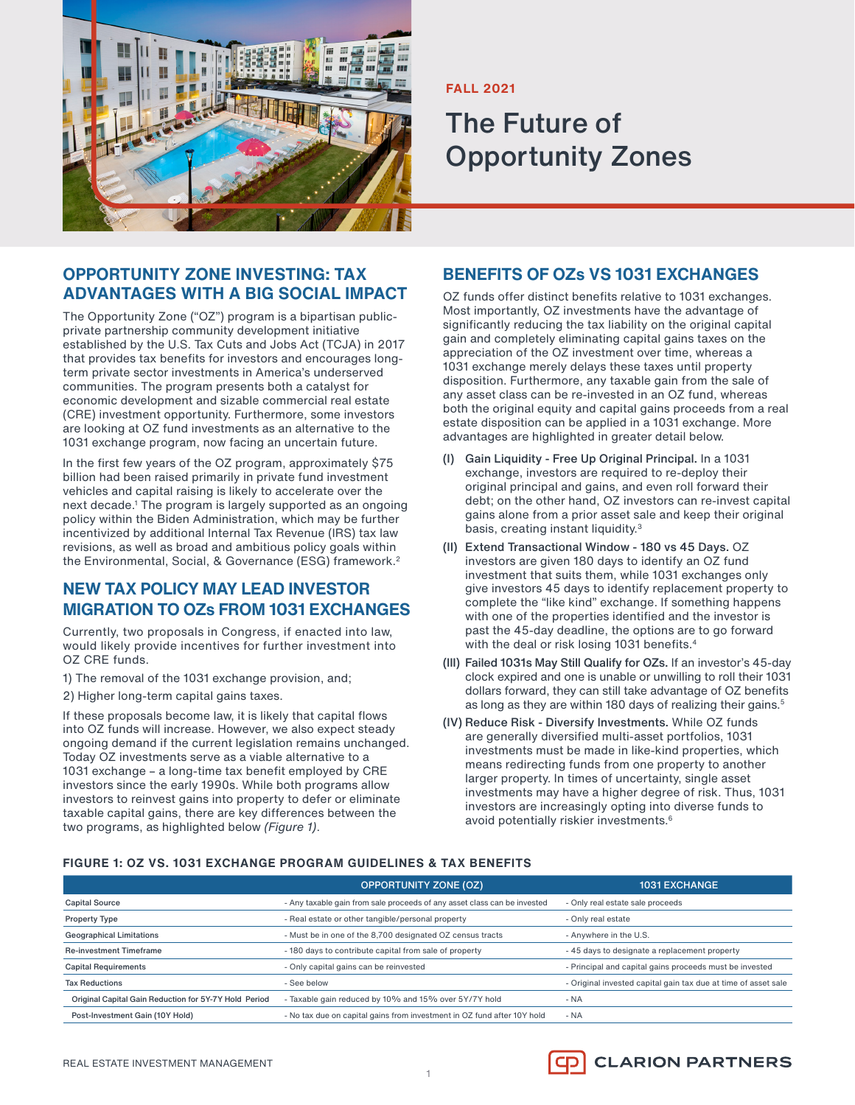

## **OPPORTUNITY ZONE INVESTING: TAX ADVANTAGES WITH A BIG SOCIAL IMPACT**

The Opportunity Zone ("OZ") program is a bipartisan publicprivate partnership community development initiative established by the U.S. Tax Cuts and Jobs Act (TCJA) in 2017 that provides tax benefits for investors and encourages longterm private sector investments in America's underserved communities. The program presents both a catalyst for economic development and sizable commercial real estate (CRE) investment opportunity. Furthermore, some investors are looking at OZ fund investments as an alternative to the 1031 exchange program, now facing an uncertain future.

In the first few years of the OZ program, approximately \$75 billion had been raised primarily in private fund investment vehicles and capital raising is likely to accelerate over the next decade.1 The program is largely supported as an ongoing policy within the Biden Administration, which may be further incentivized by additional Internal Tax Revenue (IRS) tax law revisions, as well as broad and ambitious policy goals within the Environmental, Social, & Governance (ESG) framework.<sup>2</sup>

## **NEW TAX POLICY MAY LEAD INVESTOR MIGRATION TO OZs FROM 1031 EXCHANGES**

Currently, two proposals in Congress, if enacted into law, would likely provide incentives for further investment into OZ CRE funds.

1) The removal of the 1031 exchange provision, and;

2) Higher long-term capital gains taxes.

If these proposals become law, it is likely that capital flows into OZ funds will increase. However, we also expect steady ongoing demand if the current legislation remains unchanged. Today OZ investments serve as a viable alternative to a 1031 exchange – a long-time tax benefit employed by CRE investors since the early 1990s. While both programs allow investors to reinvest gains into property to defer or eliminate taxable capital gains, there are key differences between the two programs, as highlighted below *(Figure 1)*.

## **FALL 2021**

# The Future of Opportunity Zones

# **BENEFITS OF OZs VS 1031 EXCHANGES**

OZ funds offer distinct benefits relative to 1031 exchanges. Most importantly, OZ investments have the advantage of significantly reducing the tax liability on the original capital gain and completely eliminating capital gains taxes on the appreciation of the OZ investment over time, whereas a 1031 exchange merely delays these taxes until property disposition. Furthermore, any taxable gain from the sale of any asset class can be re-invested in an OZ fund, whereas both the original equity and capital gains proceeds from a real estate disposition can be applied in a 1031 exchange. More advantages are highlighted in greater detail below.

- Gain Liquidity Free Up Original Principal. In a 1031 exchange, investors are required to re-deploy their original principal and gains, and even roll forward their debt; on the other hand, OZ investors can re-invest capital gains alone from a prior asset sale and keep their original basis, creating instant liquidity.3
- (II) Extend Transactional Window 180 vs 45 Days. OZ investors are given 180 days to identify an OZ fund investment that suits them, while 1031 exchanges only give investors 45 days to identify replacement property to complete the "like kind" exchange. If something happens with one of the properties identified and the investor is past the 45-day deadline, the options are to go forward with the deal or risk losing 1031 benefits.<sup>4</sup>
- (III) Failed 1031s May Still Qualify for OZs. If an investor's 45-day clock expired and one is unable or unwilling to roll their 1031 dollars forward, they can still take advantage of OZ benefits as long as they are within 180 days of realizing their gains.<sup>5</sup>
- (IV) Reduce Risk Diversify Investments. While OZ funds are generally diversified multi-asset portfolios, 1031 investments must be made in like-kind properties, which means redirecting funds from one property to another larger property. In times of uncertainty, single asset investments may have a higher degree of risk. Thus, 1031 investors are increasingly opting into diverse funds to avoid potentially riskier investments.6

### **FIGURE 1: OZ VS. 1031 EXCHANGE PROGRAM GUIDELINES & TAX BENEFITS**

|                                                       | <b>OPPORTUNITY ZONE (OZ)</b>                                             | <b>1031 EXCHANGE</b>                                           |
|-------------------------------------------------------|--------------------------------------------------------------------------|----------------------------------------------------------------|
| <b>Capital Source</b>                                 | - Any taxable gain from sale proceeds of any asset class can be invested | - Only real estate sale proceeds                               |
| Property Type                                         | - Real estate or other tangible/personal property                        | - Only real estate                                             |
| <b>Geographical Limitations</b>                       | - Must be in one of the 8,700 designated OZ census tracts                | - Anywhere in the U.S.                                         |
| <b>Re-investment Timeframe</b>                        | - 180 days to contribute capital from sale of property                   | - 45 days to designate a replacement property                  |
| <b>Capital Requirements</b>                           | - Only capital gains can be reinvested                                   | - Principal and capital gains proceeds must be invested        |
| <b>Tax Reductions</b>                                 | - See below                                                              | - Original invested capital gain tax due at time of asset sale |
| Original Capital Gain Reduction for 5Y-7Y Hold Period | - Taxable gain reduced by 10% and 15% over 5Y/7Y hold                    | - NA                                                           |
| Post-Investment Gain (10Y Hold)                       | - No tax due on capital gains from investment in OZ fund after 10Y hold  | - NA                                                           |

1